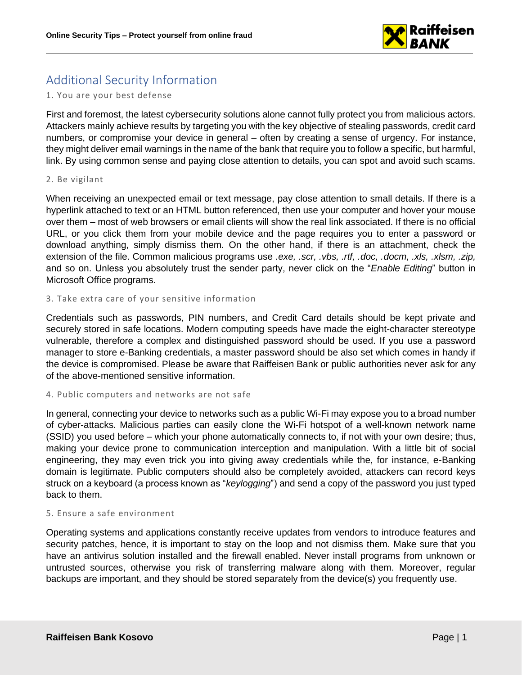

# Additional Security Information

### 1. You are your best defense

First and foremost, the latest cybersecurity solutions alone cannot fully protect you from malicious actors. Attackers mainly achieve results by targeting you with the key objective of stealing passwords, credit card numbers, or compromise your device in general – often by creating a sense of urgency. For instance, they might deliver email warnings in the name of the bank that require you to follow a specific, but harmful, link. By using common sense and paying close attention to details, you can spot and avoid such scams.

#### 2. Be vigilant

When receiving an unexpected email or text message, pay close attention to small details. If there is a hyperlink attached to text or an HTML button referenced, then use your computer and hover your mouse over them – most of web browsers or email clients will show the real link associated. If there is no official URL, or you click them from your mobile device and the page requires you to enter a password or download anything, simply dismiss them. On the other hand, if there is an attachment, check the extension of the file. Common malicious programs use *.exe, .scr, .vbs, .rtf, .doc, .docm, .xls, .xlsm, .zip,* and so on. Unless you absolutely trust the sender party, never click on the "*Enable Editing*" button in Microsoft Office programs.

### 3. Take extra care of your sensitive information

Credentials such as passwords, PIN numbers, and Credit Card details should be kept private and securely stored in safe locations. Modern computing speeds have made the eight-character stereotype vulnerable, therefore a complex and distinguished password should be used. If you use a password manager to store e-Banking credentials, a master password should be also set which comes in handy if the device is compromised. Please be aware that Raiffeisen Bank or public authorities never ask for any of the above-mentioned sensitive information.

### 4. Public computers and networks are not safe

In general, connecting your device to networks such as a public Wi-Fi may expose you to a broad number of cyber-attacks. Malicious parties can easily clone the Wi-Fi hotspot of a well-known network name (SSID) you used before – which your phone automatically connects to, if not with your own desire; thus, making your device prone to communication interception and manipulation. With a little bit of social engineering, they may even trick you into giving away credentials while the, for instance, e-Banking domain is legitimate. Public computers should also be completely avoided, attackers can record keys struck on a keyboard (a process known as "*keylogging*") and send a copy of the password you just typed back to them.

### 5. Ensure a safe environment

Operating systems and applications constantly receive updates from vendors to introduce features and security patches, hence, it is important to stay on the loop and not dismiss them. Make sure that you have an antivirus solution installed and the firewall enabled. Never install programs from unknown or untrusted sources, otherwise you risk of transferring malware along with them. Moreover, regular backups are important, and they should be stored separately from the device(s) you frequently use.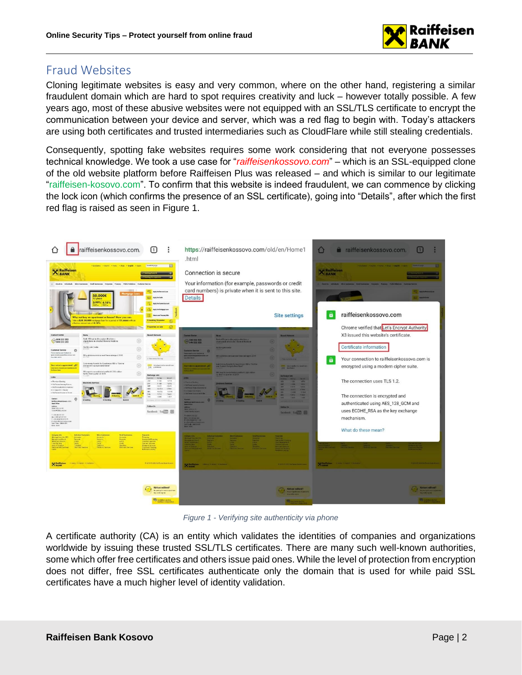

## Fraud Websites

Cloning legitimate websites is easy and very common, where on the other hand, registering a similar fraudulent domain which are hard to spot requires creativity and luck – however totally possible. A few years ago, most of these abusive websites were not equipped with an SSL/TLS certificate to encrypt the communication between your device and server, which was a red flag to begin with. Today's attackers are using both certificates and trusted intermediaries such as CloudFlare while still stealing credentials.

Consequently, spotting fake websites requires some work considering that not everyone possesses technical knowledge. We took a use case for "*raiffeisenkossovo.com*" – which is an SSL-equipped clone of the old website platform before Raiffeisen Plus was released – and which is similar to our legitimate "raiffeisen-kosovo.com". To confirm that this website is indeed fraudulent, we can commence by clicking the lock icon (which confirms the presence of an SSL certificate), going into "Details", after which the first red flag is raised as seen in Figure 1.



*Figure 1 - Verifying site authenticity via phone*

A certificate authority (CA) is an entity which validates the identities of companies and organizations worldwide by issuing these trusted SSL/TLS certificates. There are many such well-known authorities, some which offer free certificates and others issue paid ones. While the level of protection from encryption does not differ, free SSL certificates authenticate only the domain that is used for while paid SSL certificates have a much higher level of identity validation.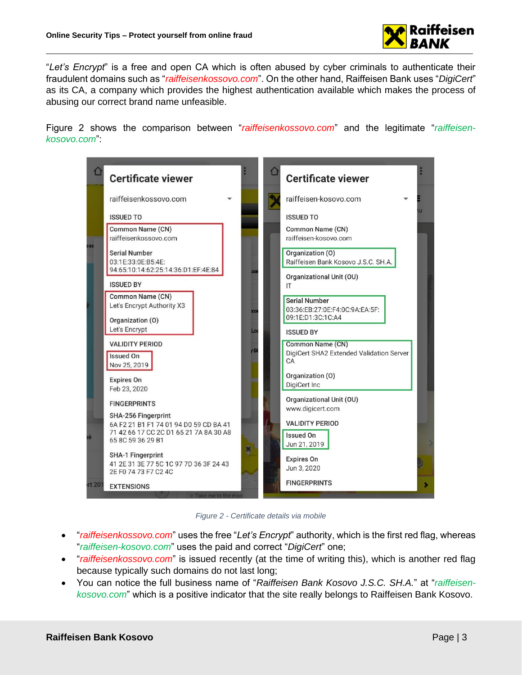

"*Let's Encrypt*" is a free and open CA which is often abused by cyber criminals to authenticate their fraudulent domains such as "*raiffeisenkossovo.com*". On the other hand, Raiffeisen Bank uses "*DigiCert*" as its CA, a company which provides the highest authentication available which makes the process of abusing our correct brand name unfeasible.

Figure 2 shows the comparison between "*raiffeisenkossovo.com*" and the legitimate "*raiffeisenkosovo.com*":



*Figure 2 - Certificate details via mobile*

- "*raiffeisenkossovo.com*" uses the free "*Let's Encrypt*" authority, which is the first red flag, whereas "*raiffeisen-kosovo.com*" uses the paid and correct "*DigiCert*" one;
- "*raiffeisenkossovo.com*" is issued recently (at the time of writing this), which is another red flag because typically such domains do not last long;
- You can notice the full business name of "*Raiffeisen Bank Kosovo J.S.C. SH.A.*" at "*raiffeisenkosovo.com*" which is a positive indicator that the site really belongs to Raiffeisen Bank Kosovo.